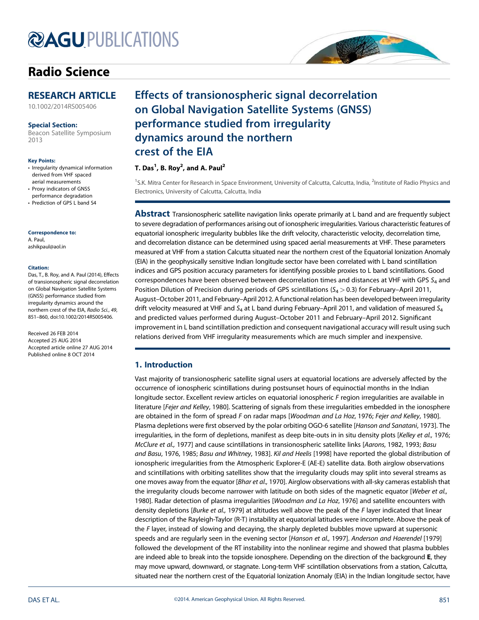# **@AGUPUBLICATIONS**

# Radio Science

## RESEARCH ARTICLE

10.1002/2014RS005406

#### Special Section:

Beacon Satellite Symposium 2013

#### Key Points:

- Irregularity dynamical information derived from VHF spaced aerial measurements
- Proxy indicators of GNSS performance degradation
- Prediction of GPS L band S4

#### Correspondence to:

A. Paul, ashikpaul@aol.in

#### Citation:

Das, T., B. Roy, and A. Paul (2014), Effects of transionospheric signal decorrelation on Global Navigation Satellite Systems (GNSS) performance studied from irregularity dynamics around the northern crest of the EIA, Radio Sci., 49, 851–860, doi:10.1002/2014RS005406.

Received 26 FEB 2014 Accepted 25 AUG 2014 Accepted article online 27 AUG 2014 Published online 8 OCT 2014

# Effects of transionospheric signal decorrelation on Global Navigation Satellite Systems (GNSS) performance studied from irregularity dynamics around the northern crest of the EIA

### T. Das<sup>1</sup>, B. Roy<sup>2</sup>, and A. Paul<sup>2</sup>

<sup>1</sup>S.K. Mitra Center for Research in Space Environment, University of Calcutta, Calcutta, India, <sup>2</sup>Institute of Radio Physics and Electronics, University of Calcutta, Calcutta, India

**MAR** 

Abstract Transionospheric satellite navigation links operate primarily at L band and are frequently subject to severe degradation of performances arising out of ionospheric irregularities. Various characteristic features of equatorial ionospheric irregularity bubbles like the drift velocity, characteristic velocity, decorrelation time, and decorrelation distance can be determined using spaced aerial measurements at VHF. These parameters measured at VHF from a station Calcutta situated near the northern crest of the Equatorial Ionization Anomaly (EIA) in the geophysically sensitive Indian longitude sector have been correlated with L band scintillation indices and GPS position accuracy parameters for identifying possible proxies to L band scintillations. Good correspondences have been observed between decorrelation times and distances at VHF with GPS  $S_4$  and Position Dilution of Precision during periods of GPS scintillations ( $S_4 > 0.3$ ) for February–April 2011, August–October 2011, and February–April 2012. A functional relation has been developed between irregularity drift velocity measured at VHF and  $S_4$  at L band during February–April 2011, and validation of measured  $S_4$ and predicted values performed during August–October 2011 and February–April 2012. Significant improvement in L band scintillation prediction and consequent navigational accuracy will result using such relations derived from VHF irregularity measurements which are much simpler and inexpensive.

## 1. Introduction

Vast majority of transionospheric satellite signal users at equatorial locations are adversely affected by the occurrence of ionospheric scintillations during postsunset hours of equinoctial months in the Indian longitude sector. Excellent review articles on equatorial ionospheric F region irregularities are available in literature [Fejer and Kelley, 1980]. Scattering of signals from these irregularities embedded in the ionosphere are obtained in the form of spread F on radar maps [Woodman and La Hoz, 1976; Fejer and Kelley, 1980]. Plasma depletions were first observed by the polar orbiting OGO-6 satellite [Hanson and Sanatani, 1973]. The irregularities, in the form of depletions, manifest as deep bite-outs in in situ density plots [Kelley et al., 1976; McClure et al., 1977] and cause scintillations in transionospheric satellite links [Aarons, 1982, 1993; Basu and Basu, 1976, 1985; Basu and Whitney, 1983]. Kil and Heelis [1998] have reported the global distribution of ionospheric irregularities from the Atmospheric Explorer-E (AE-E) satellite data. Both airglow observations and scintillations with orbiting satellites show that the irregularity clouds may split into several streams as one moves away from the equator [Bhar et al., 1970]. Airglow observations with all-sky cameras establish that the irregularity clouds become narrower with latitude on both sides of the magnetic equator [Weber et al., 1980]. Radar detection of plasma irregularities [Woodman and La Hoz, 1976] and satellite encounters with density depletions [Burke et al., 1979] at altitudes well above the peak of the F layer indicated that linear description of the Rayleigh-Taylor (R-T) instability at equatorial latitudes were incomplete. Above the peak of the F layer, instead of slowing and decaying, the sharply depleted bubbles move upward at supersonic speeds and are regularly seen in the evening sector [Hanson et al., 1997]. Anderson and Haerendel [1979] followed the development of the RT instability into the nonlinear regime and showed that plasma bubbles are indeed able to break into the topside ionosphere. Depending on the direction of the background **E**, they may move upward, downward, or stagnate. Long-term VHF scintillation observations from a station, Calcutta, situated near the northern crest of the Equatorial Ionization Anomaly (EIA) in the Indian longitude sector, have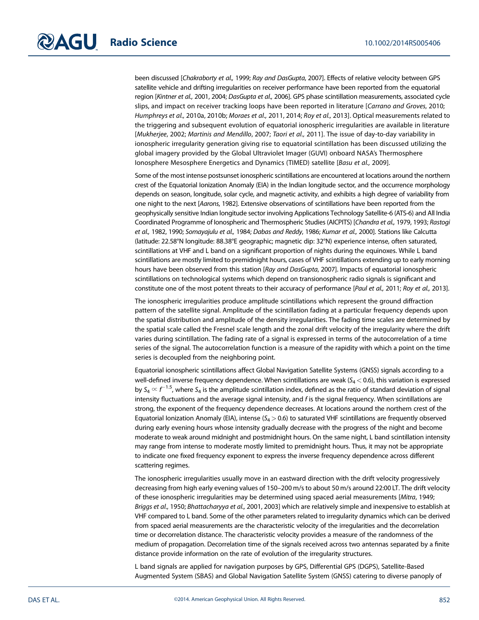been discussed [Chakraborty et al., 1999; Ray and DasGupta, 2007]. Effects of relative velocity between GPS satellite vehicle and drifting irregularities on receiver performance have been reported from the equatorial region [Kintner et al., 2001, 2004; DasGupta et al., 2006]. GPS phase scintillation measurements, associated cycle slips, and impact on receiver tracking loops have been reported in literature [Carrano and Groves, 2010; Humphreys et al., 2010a, 2010b; Moraes et al., 2011, 2014; Roy et al., 2013]. Optical measurements related to the triggering and subsequent evolution of equatorial ionospheric irregularities are available in literature [Mukherjee, 2002; Martinis and Mendillo, 2007; Taori et al., 2011]. The issue of day-to-day variability in ionospheric irregularity generation giving rise to equatorial scintillation has been discussed utilizing the global imagery provided by the Global Ultraviolet Imager (GUVI) onboard NASA's Thermosphere Ionosphere Mesosphere Energetics and Dynamics (TIMED) satellite [Basu et al., 2009].

Some of the most intense postsunset ionospheric scintillations are encountered at locations around the northern crest of the Equatorial Ionization Anomaly (EIA) in the Indian longitude sector, and the occurrence morphology depends on season, longitude, solar cycle, and magnetic activity, and exhibits a high degree of variability from one night to the next [Aarons, 1982]. Extensive observations of scintillations have been reported from the geophysically sensitive Indian longitude sector involving Applications Technology Satellite-6 (ATS-6) and All India Coordinated Programme of Ionospheric and Thermospheric Studies (AICPITS) [Chandra et al., 1979, 1993; Rastogi et al., 1982, 1990; Somayajulu et al., 1984; Dabas and Reddy, 1986; Kumar et al., 2000]. Stations like Calcutta (latitude: 22.58°N longitude: 88.38°E geographic; magnetic dip: 32°N) experience intense, often saturated, scintillations at VHF and L band on a significant proportion of nights during the equinoxes. While L band scintillations are mostly limited to premidnight hours, cases of VHF scintillations extending up to early morning hours have been observed from this station [Ray and DasGupta, 2007]. Impacts of equatorial ionospheric scintillations on technological systems which depend on transionospheric radio signals is significant and constitute one of the most potent threats to their accuracy of performance [Paul et al., 2011; Roy et al., 2013].

The ionospheric irregularities produce amplitude scintillations which represent the ground diffraction pattern of the satellite signal. Amplitude of the scintillation fading at a particular frequency depends upon the spatial distribution and amplitude of the density irregularities. The fading time scales are determined by the spatial scale called the Fresnel scale length and the zonal drift velocity of the irregularity where the drift varies during scintillation. The fading rate of a signal is expressed in terms of the autocorrelation of a time series of the signal. The autocorrelation function is a measure of the rapidity with which a point on the time series is decoupled from the neighboring point.

Equatorial ionospheric scintillations affect Global Navigation Satellite Systems (GNSS) signals according to a well-defined inverse frequency dependence. When scintillations are weak ( $S_4$  < 0.6), this variation is expressed by  $\mathsf{S}_4\propto\mathit{f}^{-1.5}$ , where  $\mathsf{S}_4$  is the amplitude scintillation index, defined as the ratio of standard deviation of signal intensity fluctuations and the average signal intensity, and  $f$  is the signal frequency. When scintillations are strong, the exponent of the frequency dependence decreases. At locations around the northern crest of the Equatorial Ionization Anomaly (EIA), intense ( $S_4 > 0.6$ ) to saturated VHF scintillations are frequently observed during early evening hours whose intensity gradually decrease with the progress of the night and become moderate to weak around midnight and postmidnight hours. On the same night, L band scintillation intensity may range from intense to moderate mostly limited to premidnight hours. Thus, it may not be appropriate to indicate one fixed frequency exponent to express the inverse frequency dependence across different scattering regimes.

The ionospheric irregularities usually move in an eastward direction with the drift velocity progressively decreasing from high early evening values of 150–200 m/s to about 50 m/s around 22:00 LT. The drift velocity of these ionospheric irregularities may be determined using spaced aerial measurements [Mitra, 1949; Briggs et al., 1950; Bhattacharyya et al., 2001, 2003] which are relatively simple and inexpensive to establish at VHF compared to L band. Some of the other parameters related to irregularity dynamics which can be derived from spaced aerial measurements are the characteristic velocity of the irregularities and the decorrelation time or decorrelation distance. The characteristic velocity provides a measure of the randomness of the medium of propagation. Decorrelation time of the signals received across two antennas separated by a finite distance provide information on the rate of evolution of the irregularity structures.

L band signals are applied for navigation purposes by GPS, Differential GPS (DGPS), Satellite-Based Augmented System (SBAS) and Global Navigation Satellite System (GNSS) catering to diverse panoply of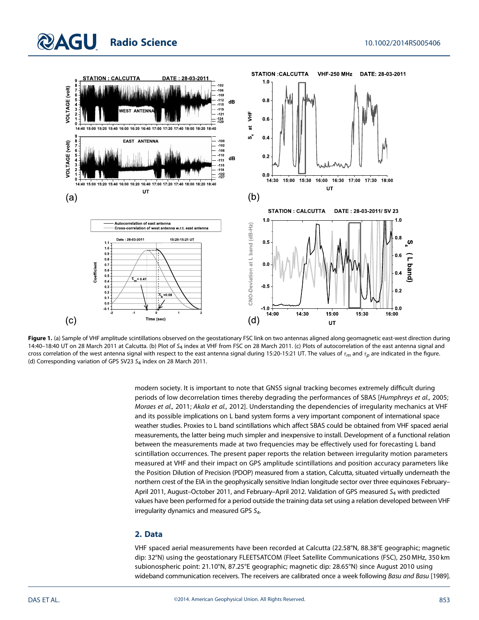# **QAGU** Radio Science 10.1002/2014RS005406



Figure 1. (a) Sample of VHF amplitude scintillations observed on the geostationary FSC link on two antennas aligned along geomagnetic east-west direction during 14:40-18:40 UT on 28 March 2011 at Calcutta. (b) Plot of  $S_4$  index at VHF from FSC on 28 March 2011. (c) Plots of autocorrelation of the east antenna signal and cross correlation of the west antenna signal with respect to the east antenna signal during 15:20-15:21 UT. The values of  $\tau_m$  and  $\tau_p$  are indicated in the figure. (d) Corresponding variation of GPS SV23  $S_4$  index on 28 March 2011.

modern society. It is important to note that GNSS signal tracking becomes extremely difficult during periods of low decorrelation times thereby degrading the performances of SBAS [Humphreys et al., 2005; Moraes et al., 2011; Akala et al., 2012]. Understanding the dependencies of irregularity mechanics at VHF and its possible implications on L band system forms a very important component of international space weather studies. Proxies to L band scintillations which affect SBAS could be obtained from VHF spaced aerial measurements, the latter being much simpler and inexpensive to install. Development of a functional relation between the measurements made at two frequencies may be effectively used for forecasting L band scintillation occurrences. The present paper reports the relation between irregularity motion parameters measured at VHF and their impact on GPS amplitude scintillations and position accuracy parameters like the Position Dilution of Precision (PDOP) measured from a station, Calcutta, situated virtually underneath the northern crest of the EIA in the geophysically sensitive Indian longitude sector over three equinoxes February– April 2011, August–October 2011, and February–April 2012. Validation of GPS measured  $S_4$  with predicted values have been performed for a period outside the training data set using a relation developed between VHF irregularity dynamics and measured GPS  $S<sub>4</sub>$ .

## 2. Data

VHF spaced aerial measurements have been recorded at Calcutta (22.58°N, 88.38°E geographic; magnetic dip: 32°N) using the geostationary FLEETSATCOM (Fleet Satellite Communications (FSC), 250 MHz, 350 km subionospheric point: 21.10°N, 87.25°E geographic; magnetic dip: 28.65°N) since August 2010 using wideband communication receivers. The receivers are calibrated once a week following Basu and Basu [1989].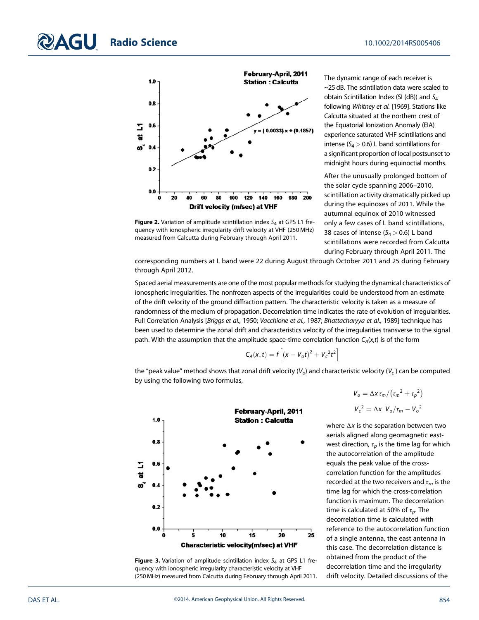

Figure 2. Variation of amplitude scintillation index  $S_4$  at GPS L1 frequency with ionospheric irregularity drift velocity at VHF (250 MHz) measured from Calcutta during February through April 2011.

The dynamic range of each receiver is ~25 dB. The scintillation data were scaled to obtain Scintillation Index (SI (dB)) and  $S_4$ following Whitney et al. [1969]. Stations like Calcutta situated at the northern crest of the Equatorial Ionization Anomaly (EIA) experience saturated VHF scintillations and intense ( $S_4 > 0.6$ ) L band scintillations for a significant proportion of local postsunset to midnight hours during equinoctial months.

After the unusually prolonged bottom of the solar cycle spanning 2006–2010, scintillation activity dramatically picked up during the equinoxes of 2011. While the autumnal equinox of 2010 witnessed only a few cases of L band scintillations, 38 cases of intense  $(S_4 > 0.6)$  L band scintillations were recorded from Calcutta during February through April 2011. The

corresponding numbers at L band were 22 during August through October 2011 and 25 during February through April 2012.

Spaced aerial measurements are one of the most popular methods for studying the dynamical characteristics of ionospheric irregularities. The nonfrozen aspects of the irregularities could be understood from an estimate of the drift velocity of the ground diffraction pattern. The characteristic velocity is taken as a measure of randomness of the medium of propagation. Decorrelation time indicates the rate of evolution of irregularities. Full Correlation Analysis [Briggs et al., 1950; Vacchione et al., 1987; Bhattacharyya et al., 1989] technique has been used to determine the zonal drift and characteristics velocity of the irregularities transverse to the signal path. With the assumption that the amplitude space-time correlation function  $C_A(x,t)$  is of the form

$$
C_A(x,t) = f\left[(x - V_o t)^2 + V_c^2 t^2\right]
$$

the "peak value" method shows that zonal drift velocity (V<sub>o</sub>) and characteristic velocity (V<sub>c</sub> ) can be computed by using the following two formulas,



Figure 3. Variation of amplitude scintillation index  $S_4$  at GPS L1 frequency with ionospheric irregularity characteristic velocity at VHF (250 MHz) measured from Calcutta during February through April 2011.

$$
V_o = \Delta x \tau_m / (\tau_m^2 + \tau_p^2)
$$
  

$$
V_c^2 = \Delta x \ V_o / \tau_m - V_o^2
$$

where  $\Delta x$  is the separation between two aerials aligned along geomagnetic eastwest direction,  $\tau_p$  is the time lag for which the autocorrelation of the amplitude equals the peak value of the crosscorrelation function for the amplitudes recorded at the two receivers and  $\tau_m$  is the time lag for which the cross-correlation function is maximum. The decorrelation time is calculated at 50% of  $\tau_p$ . The decorrelation time is calculated with reference to the autocorrelation function of a single antenna, the east antenna in this case. The decorrelation distance is obtained from the product of the decorrelation time and the irregularity drift velocity. Detailed discussions of the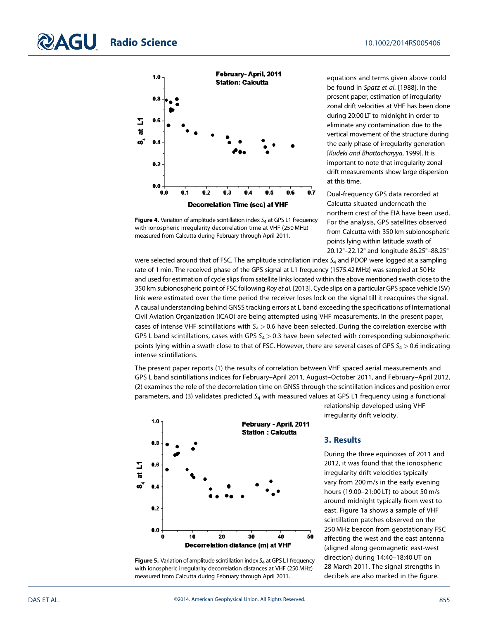

Figure 4. Variation of amplitude scintillation index  $S_4$  at GPS L1 frequency with ionospheric irregularity decorrelation time at VHF (250 MHz) measured from Calcutta during February through April 2011.

equations and terms given above could be found in Spatz et al. [1988]. In the present paper, estimation of irregularity zonal drift velocities at VHF has been done during 20:00 LT to midnight in order to eliminate any contamination due to the vertical movement of the structure during the early phase of irregularity generation [Kudeki and Bhattacharyya, 1999]. It is important to note that irregularity zonal drift measurements show large dispersion at this time.

Dual-frequency GPS data recorded at Calcutta situated underneath the northern crest of the EIA have been used. For the analysis, GPS satellites observed from Calcutta with 350 km subionospheric points lying within latitude swath of 20.12°–22.12° and longitude 86.25°–88.25°

were selected around that of FSC. The amplitude scintillation index  $S<sub>4</sub>$  and PDOP were logged at a sampling rate of 1 min. The received phase of the GPS signal at L1 frequency (1575.42 MHz) was sampled at 50Hz and used for estimation of cycle slips from satellite links located within the above mentioned swath close to the 350 km subionospheric point of FSC following Roy et al. [2013]. Cycle slips on a particular GPS space vehicle (SV) link were estimated over the time period the receiver loses lock on the signal till it reacquires the signal. A causal understanding behind GNSS tracking errors at L band exceeding the specifications of International Civil Aviation Organization (ICAO) are being attempted using VHF measurements. In the present paper, cases of intense VHF scintillations with  $S_4 > 0.6$  have been selected. During the correlation exercise with GPS L band scintillations, cases with GPS  $S_4 > 0.3$  have been selected with corresponding subionospheric points lying within a swath close to that of FSC. However, there are several cases of GPS  $S_4 > 0.6$  indicating intense scintillations.

The present paper reports (1) the results of correlation between VHF spaced aerial measurements and GPS L band scintillations indices for February–April 2011, August–October 2011, and February–April 2012, (2) examines the role of the decorrelation time on GNSS through the scintillation indices and position error parameters, and (3) validates predicted  $S_4$  with measured values at GPS L1 frequency using a functional





relationship developed using VHF irregularity drift velocity.

### 3. Results

During the three equinoxes of 2011 and 2012, it was found that the ionospheric irregularity drift velocities typically vary from 200 m/s in the early evening hours (19:00–21:00 LT) to about 50 m/s around midnight typically from west to east. Figure 1a shows a sample of VHF scintillation patches observed on the 250 MHz beacon from geostationary FSC affecting the west and the east antenna (aligned along geomagnetic east-west direction) during 14:40–18:40 UT on 28 March 2011. The signal strengths in decibels are also marked in the figure.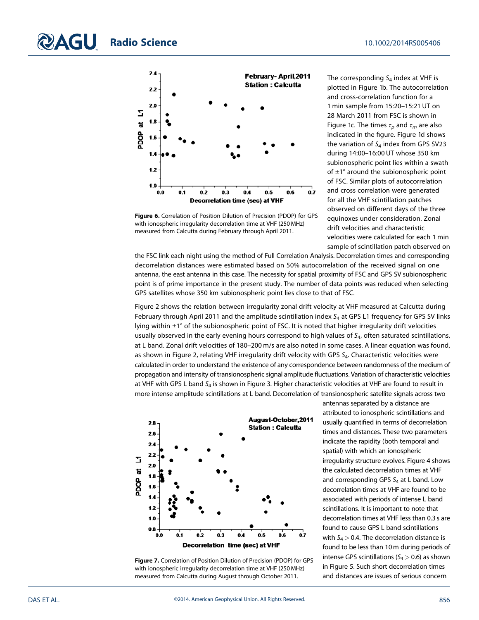

Figure 6. Correlation of Position Dilution of Precision (PDOP) for GPS with ionospheric irregularity decorrelation time at VHF (250 MHz) measured from Calcutta during February through April 2011.

The corresponding  $S_4$  index at VHF is plotted in Figure 1b. The autocorrelation and cross-correlation function for a 1 min sample from 15:20–15:21 UT on 28 March 2011 from FSC is shown in Figure 1c. The times  $\tau_p$  and  $\tau_m$  are also indicated in the figure. Figure 1d shows the variation of  $S_4$  index from GPS SV23 during 14:00–16:00 UT whose 350 km subionospheric point lies within a swath of ±1° around the subionospheric point of FSC. Similar plots of autocorrelation and cross correlation were generated for all the VHF scintillation patches observed on different days of the three equinoxes under consideration. Zonal drift velocities and characteristic velocities were calculated for each 1 min sample of scintillation patch observed on

the FSC link each night using the method of Full Correlation Analysis. Decorrelation times and corresponding decorrelation distances were estimated based on 50% autocorrelation of the received signal on one antenna, the east antenna in this case. The necessity for spatial proximity of FSC and GPS SV subionospheric point is of prime importance in the present study. The number of data points was reduced when selecting GPS satellites whose 350 km subionospheric point lies close to that of FSC.

Figure 2 shows the relation between irregularity zonal drift velocity at VHF measured at Calcutta during February through April 2011 and the amplitude scintillation index  $S_4$  at GPS L1 frequency for GPS SV links lying within ±1° of the subionospheric point of FSC. It is noted that higher irregularity drift velocities usually observed in the early evening hours correspond to high values of  $S<sub>4</sub>$ , often saturated scintillations, at L band. Zonal drift velocities of 180–200 m/s are also noted in some cases. A linear equation was found, as shown in Figure 2, relating VHF irregularity drift velocity with GPS S<sub>4</sub>. Characteristic velocities were calculated in order to understand the existence of any correspondence between randomness of the medium of propagation and intensity of transionospheric signal amplitude fluctuations. Variation of characteristic velocities at VHF with GPS L band  $S_4$  is shown in Figure 3. Higher characteristic velocities at VHF are found to result in more intense amplitude scintillations at L band. Decorrelation of transionospheric satellite signals across two



Figure 7. Correlation of Position Dilution of Precision (PDOP) for GPS with ionospheric irregularity decorrelation time at VHF (250 MHz) measured from Calcutta during August through October 2011.

antennas separated by a distance are attributed to ionospheric scintillations and usually quantified in terms of decorrelation times and distances. These two parameters indicate the rapidity (both temporal and spatial) with which an ionospheric irregularity structure evolves. Figure 4 shows the calculated decorrelation times at VHF and corresponding GPS  $S<sub>4</sub>$  at L band. Low decorrelation times at VHF are found to be associated with periods of intense L band scintillations. It is important to note that decorrelation times at VHF less than 0.3 s are found to cause GPS L band scintillations with  $S_4 > 0.4$ . The decorrelation distance is found to be less than 10 m during periods of intense GPS scintillations ( $S_4 > 0.6$ ) as shown in Figure 5. Such short decorrelation times and distances are issues of serious concern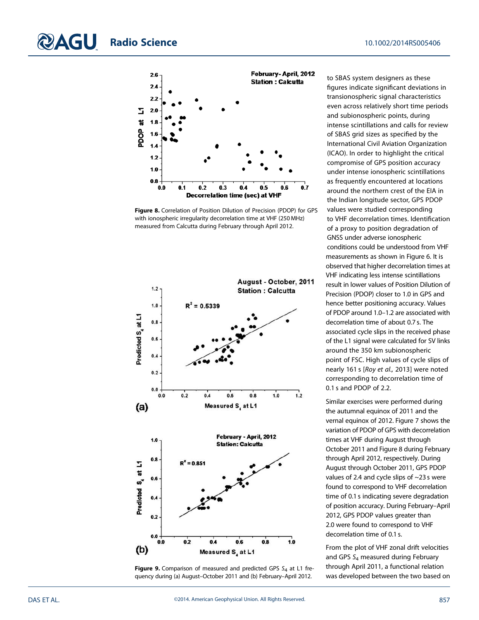



Figure 8. Correlation of Position Dilution of Precision (PDOP) for GPS with ionospheric irregularity decorrelation time at VHF (250 MHz) measured from Calcutta during February through April 2012.



**Figure 9.** Comparison of measured and predicted GPS  $S_4$  at L1 frequency during (a) August–October 2011 and (b) February–April 2012.

to SBAS system designers as these figures indicate significant deviations in transionospheric signal characteristics even across relatively short time periods and subionospheric points, during intense scintillations and calls for review of SBAS grid sizes as specified by the International Civil Aviation Organization (ICAO). In order to highlight the critical compromise of GPS position accuracy under intense ionospheric scintillations as frequently encountered at locations around the northern crest of the EIA in the Indian longitude sector, GPS PDOP values were studied corresponding to VHF decorrelation times. Identification of a proxy to position degradation of GNSS under adverse ionospheric conditions could be understood from VHF measurements as shown in Figure 6. It is observed that higher decorrelation times at VHF indicating less intense scintillations result in lower values of Position Dilution of Precision (PDOP) closer to 1.0 in GPS and hence better positioning accuracy. Values of PDOP around 1.0–1.2 are associated with decorrelation time of about 0.7 s. The associated cycle slips in the received phase of the L1 signal were calculated for SV links around the 350 km subionospheric point of FSC. High values of cycle slips of nearly 161 s [Roy et al., 2013] were noted corresponding to decorrelation time of 0.1 s and PDOP of 2.2.

Similar exercises were performed during the autumnal equinox of 2011 and the vernal equinox of 2012. Figure 7 shows the variation of PDOP of GPS with decorrelation times at VHF during August through October 2011 and Figure 8 during February through April 2012, respectively. During August through October 2011, GPS PDOP values of 2.4 and cycle slips of ~23 s were found to correspond to VHF decorrelation time of 0.1 s indicating severe degradation of position accuracy. During February–April 2012, GPS PDOP values greater than 2.0 were found to correspond to VHF decorrelation time of 0.1 s.

From the plot of VHF zonal drift velocities and GPS  $S_4$  measured during February through April 2011, a functional relation was developed between the two based on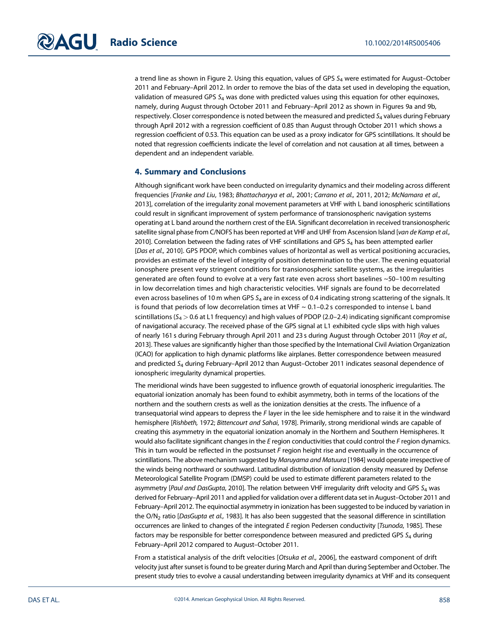a trend line as shown in Figure 2. Using this equation, values of GPS  $S_4$  were estimated for August–October 2011 and February–April 2012. In order to remove the bias of the data set used in developing the equation, validation of measured GPS  $S_4$  was done with predicted values using this equation for other equinoxes, namely, during August through October 2011 and February–April 2012 as shown in Figures 9a and 9b, respectively. Closer correspondence is noted between the measured and predicted S<sub>4</sub> values during February through April 2012 with a regression coefficient of 0.85 than August through October 2011 which shows a regression coefficient of 0.53. This equation can be used as a proxy indicator for GPS scintillations. It should be noted that regression coefficients indicate the level of correlation and not causation at all times, between a dependent and an independent variable.

#### 4. Summary and Conclusions

Although significant work have been conducted on irregularity dynamics and their modeling across different frequencies [Franke and Liu, 1983; Bhattacharyya et al., 2001; Carrano et al., 2011, 2012; McNamara et al., 2013], correlation of the irregularity zonal movement parameters at VHF with L band ionospheric scintillations could result in significant improvement of system performance of transionospheric navigation systems operating at L band around the northern crest of the EIA. Significant decorrelation in received transionospheric satellite signal phase from C/NOFS has been reported at VHF and UHF from Ascension Island [van de Kamp et al., 2010]. Correlation between the fading rates of VHF scintillations and GPS  $S_4$  has been attempted earlier [Das et al., 2010]. GPS PDOP, which combines values of horizontal as well as vertical positioning accuracies, provides an estimate of the level of integrity of position determination to the user. The evening equatorial ionosphere present very stringent conditions for transionospheric satellite systems, as the irregularities generated are often found to evolve at a very fast rate even across short baselines ~50–100 m resulting in low decorrelation times and high characteristic velocities. VHF signals are found to be decorrelated even across baselines of 10 m when GPS  $S_4$  are in excess of 0.4 indicating strong scattering of the signals. It is found that periods of low decorrelation times at VHF  $\sim$  0.1–0.2 s corresponded to intense L band scintillations ( $S_4 > 0.6$  at L1 frequency) and high values of PDOP (2.0–2.4) indicating significant compromise of navigational accuracy. The received phase of the GPS signal at L1 exhibited cycle slips with high values of nearly 161 s during February through April 2011 and 23 s during August through October 2011 [Roy et al., 2013]. These values are significantly higher than those specified by the International Civil Aviation Organization (ICAO) for application to high dynamic platforms like airplanes. Better correspondence between measured and predicted  $S<sub>4</sub>$  during February–April 2012 than August–October 2011 indicates seasonal dependence of ionospheric irregularity dynamical properties.

The meridional winds have been suggested to influence growth of equatorial ionospheric irregularities. The equatorial ionization anomaly has been found to exhibit asymmetry, both in terms of the locations of the northern and the southern crests as well as the ionization densities at the crests. The influence of a transequatorial wind appears to depress the F layer in the lee side hemisphere and to raise it in the windward hemisphere [Rishbeth, 1972; Bittencourt and Sahai, 1978]. Primarily, strong meridional winds are capable of creating this asymmetry in the equatorial ionization anomaly in the Northern and Southern Hemispheres. It would also facilitate significant changes in the  $E$  region conductivities that could control the  $F$  region dynamics. This in turn would be reflected in the postsunset F region height rise and eventually in the occurrence of scintillations. The above mechanism suggested by Maruyama and Matuura [1984] would operate irrespective of the winds being northward or southward. Latitudinal distribution of ionization density measured by Defense Meteorological Satellite Program (DMSP) could be used to estimate different parameters related to the asymmetry [Paul and DasGupta, 2010]. The relation between VHF irregularity drift velocity and GPS  $S<sub>4</sub>$  was derived for February–April 2011 and applied for validation over a different data set in August–October 2011 and February–April 2012. The equinoctial asymmetry in ionization has been suggested to be induced by variation in the O/N<sub>2</sub> ratio [DasGupta et al., 1983]. It has also been suggested that the seasonal difference in scintillation occurrences are linked to changes of the integrated E region Pedersen conductivity [Tsunoda, 1985]. These factors may be responsible for better correspondence between measured and predicted GPS  $S<sub>4</sub>$  during February–April 2012 compared to August–October 2011.

From a statistical analysis of the drift velocities [Otsuka et al., 2006], the eastward component of drift velocity just after sunset is found to be greater during March and April than during September and October. The present study tries to evolve a causal understanding between irregularity dynamics at VHF and its consequent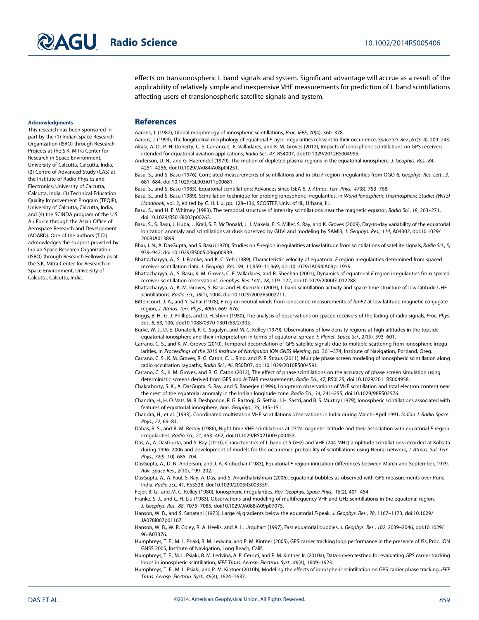effects on transionospheric L band signals and system. Significant advantage will accrue as a result of the applicability of relatively simple and inexpensive VHF measurements for prediction of L band scintillations affecting users of transionospheric satellite signals and system.

#### References

Aarons, J. (1982), Global morphology of ionospheric scintillations, Proc. IEEE, 70(4), 360–378.

- Aarons, J. (1993), The longitudinal morphology of equatorial F-layer irregularities relevant to their occurrence, Space Sci. Rev., 63(3-4), 209-243. Akala, A. O., P. H. Doherty, C. S. Carrano, C. E. Valladares, and K. M. Groves (2012), Impacts of ionospheric scintillations on GPS receivers intended for equatorial aviation applications, Radio Sci., 47, RS4007, doi:10.1029/2012RS004995.
- Anderson, D. N., and G. Haerendel (1979), The motion of depleted plasma regions in the equatorial ionosphere, J. Geophys. Res., 84, 4251–4256, doi:10.1029/JA084iA08p04251.
- Basu, S., and S. Basu (1976), Correlated measurements of scintillations and in situ F region irregularities from OGO-6, Geophys. Res. Lett., 3, 681–684, doi:10.1029/GL003i011p00681.
- Basu, S., and S. Basu (1985), Equatorial scintillations: Advances since ISEA-6, J. Atmos. Terr. Phys., 47(8), 753–768.
- Basu, S., and S. Basu (1989), Scintillation technique for probing ionospheric irregularities, in World Ionospheric Thermospheric Studies (WITS) Handbook, vol. 2, edited by C. H. Liu, pp. 128–136, SCOSTEP, Univ. of Ill., Urbana, Ill.

Basu, S., and H. E. Whitney (1983), The temporal structure of intensity scintillations near the magnetic equator, Radio Sci., 18, 263-271, doi:10.1029/RS018i002p00263.

- Basu, S., S. Basu, J. Huba, J. Krall, S. E. McDonald, J. J. Makela, E. S. Miller, S. Ray, and K. Groves (2009), Day-to-day variability of the equatorial ionization anomaly and scintillations at dusk observed by GUVI and modeling by SAMI3, J. Geophys. Res., 114, A04302, doi:10.1029/ 2008JA013899.
- Bhar, J. N., A. DasGupta, and S. Basu (1970), Studies on F-region irregularities at low latitude from scintillations of satellite signals, Radio Sci., 5, 939–942, doi:10.1029/RS005i006p00939.
- Bhattacharyya, A., S. J. Franke, and K. C. Yeh (1989), Characteristic velocity of equatorial F region irregularities determined from spaced receiver scintillation data, J. Geophys. Res., 94, 11,959–11,969, doi:10.1029/JA094iA09p11959.
- Bhattacharyya, A., S. Basu, K. M. Groves, C. E. Valladares, and R. Sheehan (2001), Dynamics of equatorial F region irregularities from spaced receiver scintillation observations, Geophys. Res. Lett., 28, 119–122, doi:10.1029/2000GL012288.
- Bhattacharyya, A., K. M. Groves, S. Basu, and H. Kuenzler (2003), L-band scintillation activity and space-time structure of low-latitude UHF scintillations, Radio Sci., 38(1), 1004, doi:10.1029/2002RS002711.
- Bittencourt, J. A., and Y. Sahai (1978), F-region neutral winds from ionosonde measurements of hmF2 at low latitude magnetic conjugate region, J. Atmos. Terr. Phys., 40(6), 669–676.

Briggs, B. H., G. J. Phillips, and D. H. Shinn (1950), The analysis of observations on spaced receivers of the fading of radio signals, Proc. Phys. Soc. B, 63, 106, doi:10.1088/0370-1301/63/2/305.

- Burke, W. J., D. E. Donatelli, R. C. Sagalyn, and M. C. Kelley (1979), Observations of low density regions at high altitudes in the topside equatorial ionosphere and their interpretation in terms of equatorial spread-F, Planet. Space Sci., 27(5), 593–601.
- Carrano, C. S., and K. M. Groves (2010), Temporal decorrelation of GPS satellite signals due to multiple scattering from ionospheric irregularities, in Proceedings of the 2010 Institute of Navigation ION GNSS Meeting, pp. 361-374, Institute of Navigation, Portland, Oreg.
- Carrano, C. S., K. M. Groves, R. G. Caton, C. L. Rino, and P. R. Straus (2011), Multiple phase screen modeling of ionospheric scintillation along radio occultation raypaths, Radio Sci., 46, RS0D07, doi:10.1029/2010RS004591.
- Carrano, C. S., K. M. Groves, and R. G. Caton (2012), The effect of phase scintillations on the accuracy of phase screen simulation using deterministic screens derived from GPS and ALTAIR measurements, Radio Sci., 47, RS0L25, doi:10.1029/2011RS004958.
- Chakraborty, S. K., A. DasGupta, S. Ray, and S. Banerjee (1999), Long-term observations of VHF scintillation and total electron content near the crest of the equatorial anomaly in the Indian longitude zone, Radio Sci., 34, 241-255, doi:10.1029/98RS02576.
- Chandra, H., H. O. Vats, M. R. Deshpande, R. G. Rastogi, G. Sethia, J. H. Sastri, and B. S. Murthy (1979), Ionospheric scintillations associated with features of equatorial ionosphere, Ann. Geophys., 35, 145–151.
- Chandra, H., et al. (1993), Coordinated multistation VHF scintillations observations in India during March–April 1991, Indian J. Radio Space Phys., 22, 69–81.
- Dabas, R. S., and B. M. Reddy (1986), Night time VHF scintillations at 23°N magnetic latitude and their association with equatorial F-region irregularities, Radio Sci., 21, 453–462, doi:10.1029/RS021i003p00453.
- Das, A., A. DasGupta, and S. Ray (2010), Characteristics of L-band (1.5 GHz) and VHF (244 MHz) amplitude scintillations recorded at Kolkata during 1996–2006 and development of models for the occurrence probability of scintillations using Neural network, J. Atmos. Sol. Terr. Phys., 72(9–10), 685–704.
- DasGupta, A., D. N. Anderson, and J. A. Klobuchar (1983), Equatorial F-region ionization differences between March and September, 1979, Adv. Space Res., 2(10), 199–202.
- DasGupta, A., A. Paul, S. Ray, A. Das, and S. Ananthakrishnan (2006), Equatorial bubbles as observed with GPS measurements over Pune, India, Radio Sci., 41, RS5S28, doi:10.1029/2005RS003359.
- Fejer, B. G., and M. C. Kelley (1980), Ionospheric irregularities, Rev. Geophys. Space Phys., 18(2), 401–454.
- Franke, S. J., and C. H. Liu (1983), Observations and modeling of multifrequency VHF and GHz scintillations in the equatorial region, J. Geophys. Res., 88, 7075–7085, doi:10.1029/JA088iA09p07075.
- Hanson, W. B., and S. Sanatani (1973), Large N<sub>I</sub> gradients below the equatorial F-peak, J. Geophys. Res., 78, 1167-1173, doi:10.1029/ JA078i007p01167.
- Hanson, W. B., W. R. Coley, R. A. Heelis, and A. L. Urquhart (1997), Fast equatorial bubbles, J. Geophys. Res., 102, 2039-2046, doi:10.1029/ 96JA03376.
- Humphreys, T. E., M. L. Psiaki, B. M. Ledvina, and P. M. Kintner (2005), GPS carrier tracking loop performance in the presence of ISs, Proc. ION GNSS 2005, Institute of Navigation, Long Beach, Calif.
- Humphreys, T. E., M. L. Psiaki, B. M. Ledvina, A. P. Cerruti, and P. M. Kintner Jr. (2010a), Data-driven testbed for evaluating GPS carrier tracking loops in ionospheric scintillation, IEEE Trans. Aerosp. Electron. Syst., 46(4), 1609-1623.
- Humphreys, T. E., M. L. Psiaki, and P. M. Kintner (2010b), Modeling the effects of ionospheric scintillation on GPS carrier phase tracking, IEEE Trans. Aerosp. Electron. Syst., 46(4), 1624–1637.

#### **Acknowledaments** This research has been sponsored in

part by the (1) Indian Space Research Organization (ISRO) through Research Projects at the S.K. Mitra Center for Research in Space Environment, University of Calcutta, Calcutta, India, (2) Centre of Advanced Study (CAS) at the Institute of Radio Physics and Electronics, University of Calcutta, Calcutta, India, (3) Technical Education Quality Improvement Program (TEQIP), University of Calcutta, Calcutta, India, and (4) the SCINDA program of the U.S. Air Force through the Asian Office of Aerospace Research and Development (AOARD). One of the authors (T.D.) acknowledges the support provided by Indian Space Research Organization (ISRO) through Research Fellowships at the S.K. Mitra Center for Research in Space Environment, University of Calcutta, Calcutta, India.